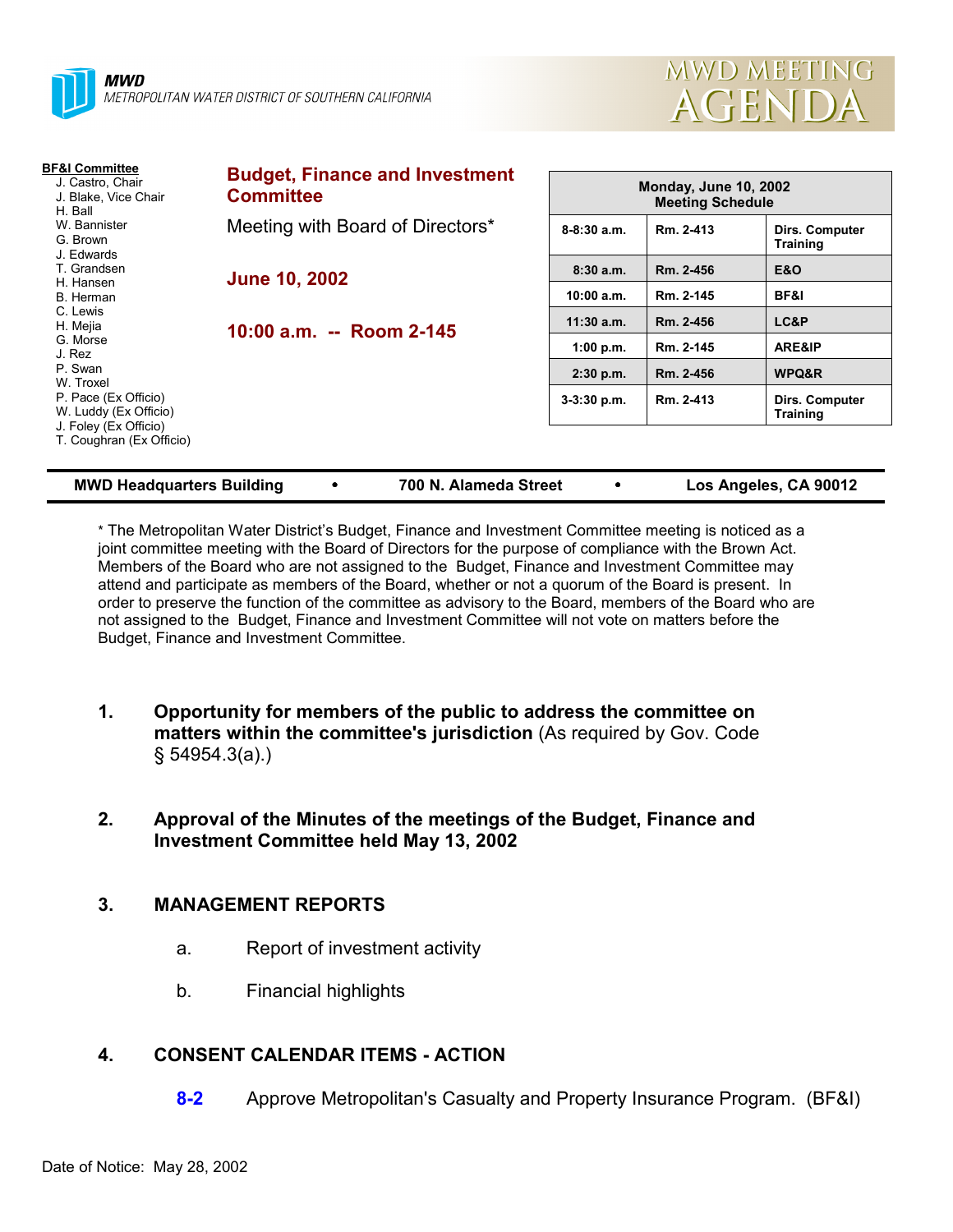



| <b>BF&amp;I Committee</b><br>J. Castro, Chair<br>J. Blake, Vice Chair<br>H. Ball<br>W. Bannister<br>G. Brown<br>J. Edwards | <b>Budget, Finance and Investment</b><br><b>Committee</b> | <b>Monday, June 10, 2002</b><br><b>Meeting Schedule</b> |           |                                   |
|----------------------------------------------------------------------------------------------------------------------------|-----------------------------------------------------------|---------------------------------------------------------|-----------|-----------------------------------|
|                                                                                                                            | Meeting with Board of Directors*                          | $8-8:30a.m.$                                            | Rm. 2-413 | Dirs. Computer<br><b>Training</b> |
| T. Grandsen                                                                                                                | <b>June 10, 2002</b><br>10:00 a.m. -- Room 2-145          | 8:30a.m.                                                | Rm. 2-456 | <b>E&amp;O</b>                    |
| H. Hansen<br>B. Herman                                                                                                     |                                                           | 10:00 a.m.                                              | Rm. 2-145 | BF&I                              |
| C. Lewis<br>H. Mejia                                                                                                       |                                                           | $11:30$ a.m.                                            | Rm. 2-456 | LC&P                              |
| G. Morse<br>J. Rez<br>P. Swan<br>W. Troxel<br>P. Pace (Ex Officio)<br>W. Luddy (Ex Officio)                                |                                                           | 1:00 p.m.                                               | Rm. 2-145 | ARE&IP                            |
|                                                                                                                            |                                                           | $2:30$ p.m.                                             | Rm. 2-456 | WPQ&R                             |
|                                                                                                                            |                                                           | $3-3:30$ p.m.                                           | Rm. 2-413 | Dirs. Computer<br><b>Training</b> |
| J. Foley (Ex Officio)<br>T. Coughran (Ex Officio)                                                                          |                                                           |                                                         |           |                                   |

**MWD Headquarters Building** ! **700 N. Alameda Street** ! **Los Angeles, CA 90012**

\* The Metropolitan Water Districtís Budget, Finance and Investment Committee meeting is noticed as a joint committee meeting with the Board of Directors for the purpose of compliance with the Brown Act. Members of the Board who are not assigned to the Budget, Finance and Investment Committee may attend and participate as members of the Board, whether or not a quorum of the Board is present. In order to preserve the function of the committee as advisory to the Board, members of the Board who are not assigned to the Budget, Finance and Investment Committee will not vote on matters before the Budget, Finance and Investment Committee.

- **1. Opportunity for members of the public to address the committee on matters within the committee's jurisdiction** (As required by Gov. Code ß 54954.3(a).)
- **2. Approval of the Minutes of the meetings of the Budget, Finance and Investment Committee held May 13, 2002**

### **3. MANAGEMENT REPORTS**

- a. Report of investment activity
- b. Financial highlights

# **4. CONSENT CALENDAR ITEMS - ACTION**

**8-2** Approve Metropolitan's Casualty and Property Insurance Program. (BF&I)